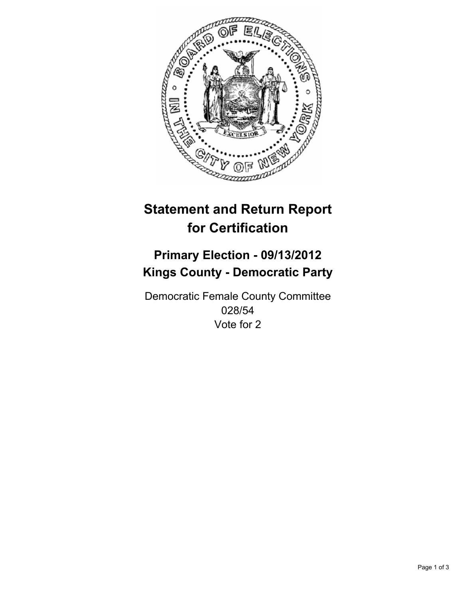

# **Statement and Return Report for Certification**

# **Primary Election - 09/13/2012 Kings County - Democratic Party**

Democratic Female County Committee 028/54 Vote for 2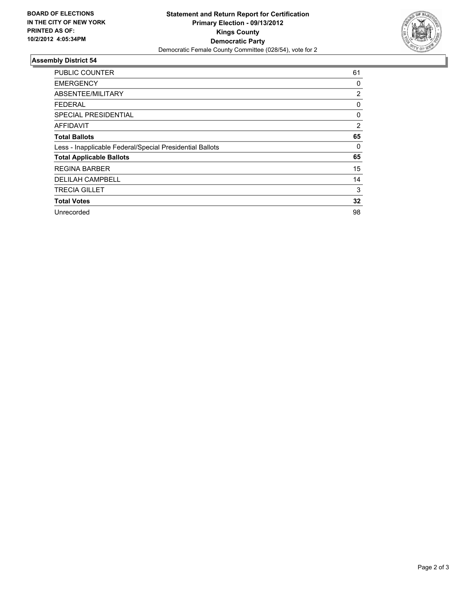

## **Assembly District 54**

| <b>PUBLIC COUNTER</b>                                    | 61             |
|----------------------------------------------------------|----------------|
| <b>EMERGENCY</b>                                         | 0              |
| ABSENTEE/MILITARY                                        | $\overline{2}$ |
| <b>FEDERAL</b>                                           | 0              |
| <b>SPECIAL PRESIDENTIAL</b>                              | 0              |
| AFFIDAVIT                                                | 2              |
| <b>Total Ballots</b>                                     | 65             |
| Less - Inapplicable Federal/Special Presidential Ballots | 0              |
| <b>Total Applicable Ballots</b>                          | 65             |
| <b>REGINA BARBER</b>                                     | 15             |
| <b>DELILAH CAMPBELL</b>                                  | 14             |
| <b>TRECIA GILLET</b>                                     | 3              |
| <b>Total Votes</b>                                       | 32             |
| Unrecorded                                               | 98             |